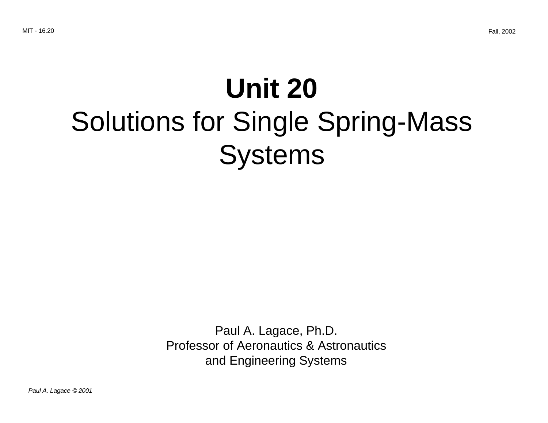# **Unit 20** Solutions for Single Spring-Mass Systems

Paul A. Lagace, Ph.D. Professor of Aeronautics & Astronautics and Engineering Systems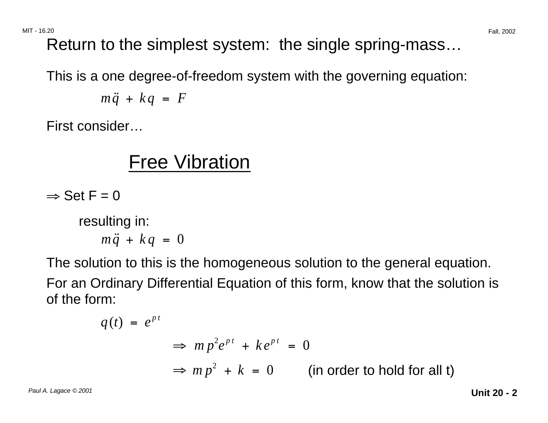Return to the simplest system: the single spring-mass…

This is a one degree-of-freedom system with the governing equation:

$$
m\ddot{q} + kq = F
$$

First consider…

### Free Vibration

 $\Rightarrow$  Set F = 0

resulting in:

$$
m\ddot{q} + kq = 0
$$

The solution to this is the homogeneous solution to the general equation.

For an Ordinary Differential Equation of this form, know that the solution is of the form:

$$
q(t) = e^{pt}
$$
  
\n
$$
\Rightarrow mp^{2}e^{pt} + ke^{pt} = 0
$$
  
\n
$$
\Rightarrow mp^{2} + k = 0
$$
 (in order to hold for all t)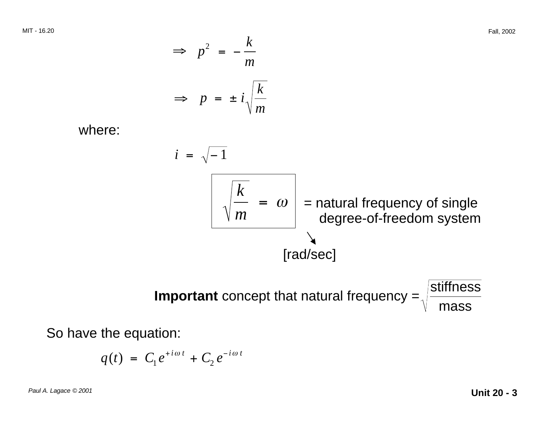MIT - 16.20 Fall, 2002 <sup>2</sup>*k* <sup>⇒</sup> *<sup>p</sup>*<sup>=</sup> <sup>−</sup> *m*  <sup>⇒</sup> *<sup>p</sup>*<sup>=</sup> <sup>±</sup> *<sup>i</sup><sup>k</sup> m*  where: *i* <sup>=</sup> <sup>−</sup> 1 *k m*  = <sup>ω</sup> = natural frequency of single degree-of-freedom system [rad/sec]

**Important** concept that natural frequency  $=$   $\sqrt{ }$ mass

So have the equation:

$$
q(t) = C_1 e^{i \omega t} + C_2 e^{-i \omega t}
$$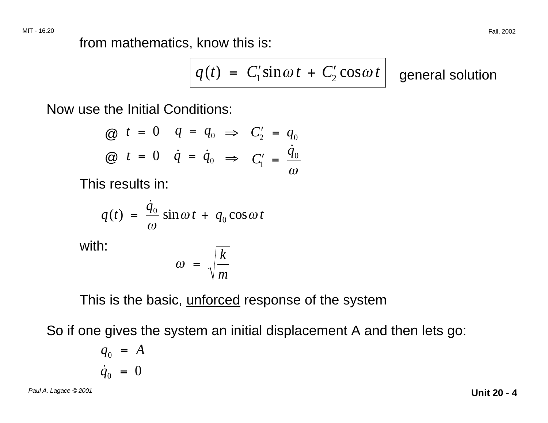from mathematics, know this is:

$$
q(t) = C'_1 \sin \omega t + C'_2 \cos \omega t \Big| \quad \text{general solution}
$$

Now use the Initial Conditions:

$$
\begin{array}{llll}\n\textcircled{a} & t = 0 & q = q_0 \implies C_2' = q_0 \\
\textcircled{a} & t = 0 & \dot{q} = \dot{q}_0 \implies C_1' = \frac{\dot{q}_0}{\omega}\n\end{array}
$$

This results in:

$$
q(t) = \frac{\dot{q}_0}{\omega} \sin \omega t + q_0 \cos \omega t
$$

with:

$$
\omega = \sqrt{\frac{k}{m}}
$$

This is the basic, unforced response of the system

So if one gives the system an initial displacement A and then lets go:

$$
q_0 = A
$$
  

$$
\dot{q}_0 = 0
$$

Paul A. Lagace © 2001 **Unit 20 - 4**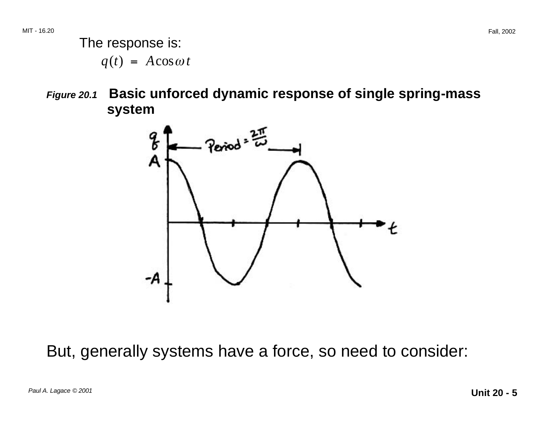**Figure 20.1 Basic unforced dynamic response of single spring-mass system** 



But, generally systems have a force, so need to consider: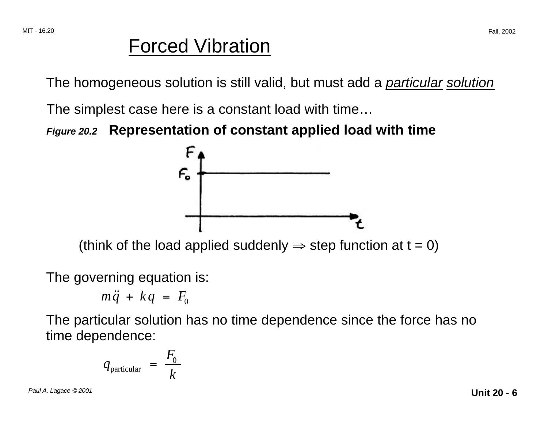#### Forced Vibration

The homogeneous solution is still valid, but must add a *particular solution* 

The simplest case here is a constant load with time…

**Figure 20.2 Representation of constant applied load with time**



(think of the load applied suddenly  $\Rightarrow$  step function at t = 0)

The governing equation is:

$$
m\ddot{q} + kq = F_0
$$

The particular solution has no time dependence since the force has no time dependence:

$$
q_{\text{particular}} = \frac{F_0}{k}
$$

Paul A. Lagace © 2001 **Unit 20 - 6**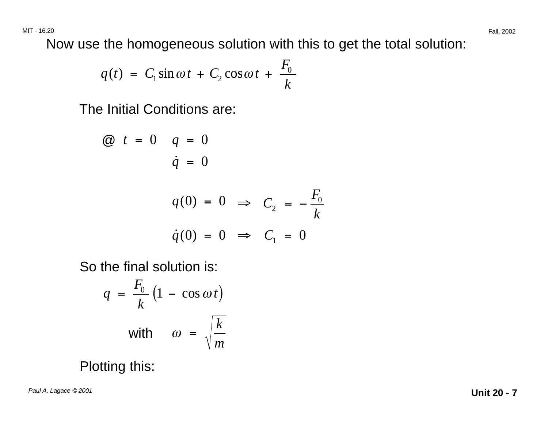Now use the homogeneous solution with this to get the total solution:

$$
q(t) = C_1 \sin \omega t + C_2 \cos \omega t + \frac{F_0}{k}
$$

The Initial Conditions are:

$$
\begin{aligned}\n\textcircled{a} \quad t &= 0 \qquad q = 0 \\
\dot{q} &= 0 \\
q(0) &= 0 \implies C_2 = -\frac{F_0}{k} \\
\dot{q}(0) &= 0 \implies C_1 = 0\n\end{aligned}
$$

So the final solution is:

$$
q = \frac{F_0}{k} \left( 1 - \cos \omega t \right)
$$
  
with  $\omega = \sqrt{\frac{k}{m}}$ 

Plotting this: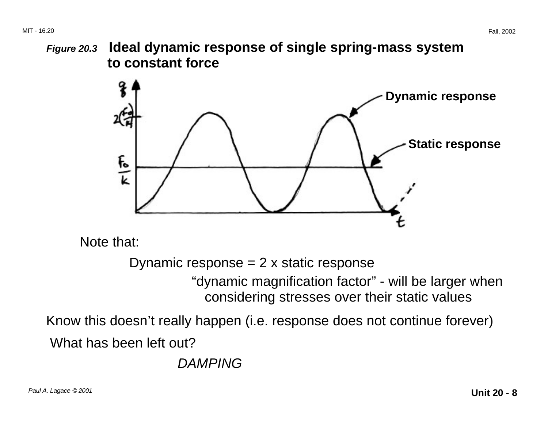**Figure 20.3 Ideal dynamic response of single spring-mass system to constant force** 



Note that:

Dynamic response  $= 2 \times$  static response

"dynamic magnification factor" - will be larger when considering stresses over their static values

Know this doesn't really happen (i.e. response does not continue forever) What has been left out?

DAMPING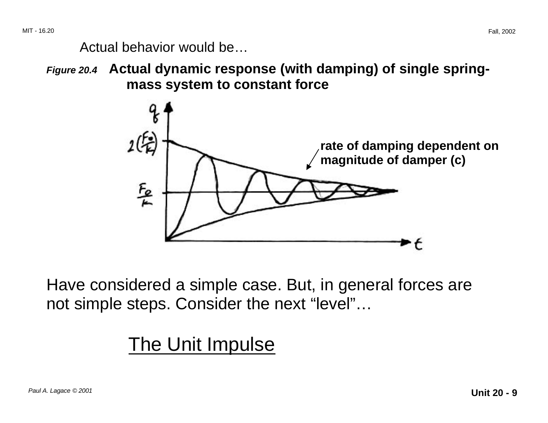Actual behavior would be…

**Figure 20.4 Actual dynamic response (with damping) of single springmass system to constant force** 



Have considered a simple case. But, in general forces are not simple steps. Consider the next "level"…

# The Unit Impulse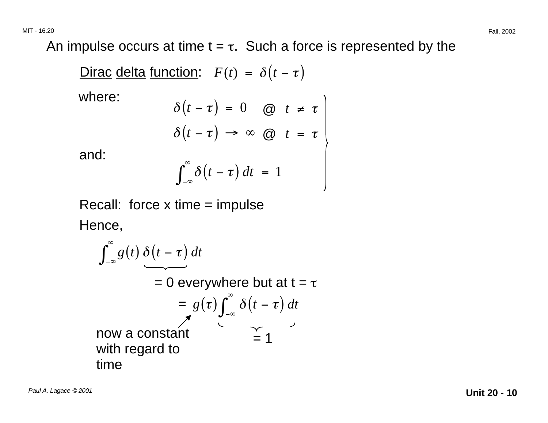An impulse occurs at time  $t = \tau$ . Such a force is represented by the

| Dirac delta function: | \n $F(t) = \delta(t - \tau)$ \n                                |
|-----------------------|----------------------------------------------------------------|
| where:                | \n $\delta(t - \tau) = 0 \quad \text{(a)}$ \n $t \neq \tau$ \n |
| and:                  | \n $\int_{-\infty}^{\infty} \delta(t - \tau) \, dt = 1$ \n     |

a

Recall: force  $x$  time = impulse Hence,

$$
\int_{-\infty}^{\infty} g(t) \, \delta(t-\tau) \, dt
$$
\n= 0 everywhere but at  $t = \tau$   
\n=  $g(\tau) \int_{-\infty}^{\infty} \delta(t-\tau) \, dt$   
\nnow a constant  
\nwith regard to  
\ntime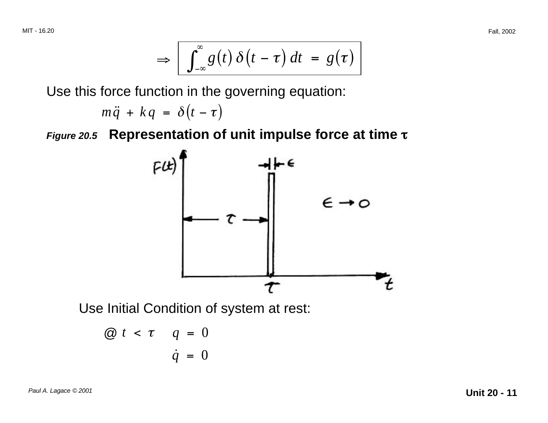$$
\Rightarrow \boxed{\int_{-\infty}^{\infty} g(t) \, \delta(t-\tau) \, dt = g(\tau)}
$$

Use this force function in the governing equation:

$$
m\ddot{q} + kq = \delta(t-\tau)
$$

τ **Figure 20.5 Representation of unit impulse force at time** <sup>τ</sup>



Use Initial Condition of system at rest:

$$
\begin{array}{rcl}\n\textcircled{a} & t < \tau & q = 0 \\
\dot{q} & = 0\n\end{array}
$$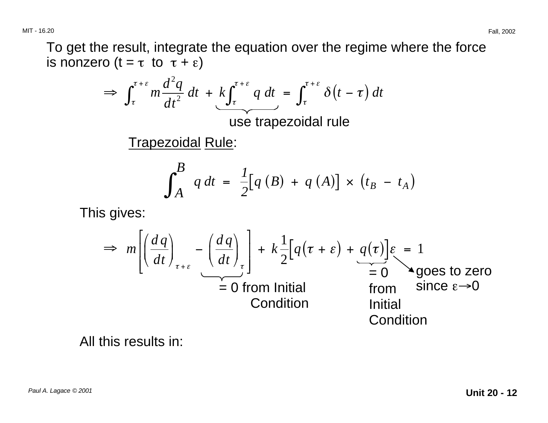To get the result, integrate the equation over the regime where the force is nonzero  $(t = \tau \text{ to } \tau + \varepsilon)$ 

$$
\Rightarrow \int_{\tau}^{\tau+\varepsilon} m \frac{d^2q}{dt^2} dt + k \int_{\tau}^{\tau+\varepsilon} q dt = \int_{\tau}^{\tau+\varepsilon} \delta(t-\tau) dt
$$

use trapezoidal rule

Trapezoidal Rule:

$$
\int_{A}^{B} q dt = \frac{1}{2} [q (B) + q (A)] \times (t_{B} - t_{A})
$$

This gives:

$$
\Rightarrow m \left[ \left( \frac{dq}{dt} \right)_{\tau + \varepsilon} - \left( \frac{dq}{dt} \right)_{\tau} \right] + k \frac{1}{2} \left[ q(\tau + \varepsilon) + q(\tau) \right] \varepsilon = 1
$$
  
= 0 from Initial  
Condition  $\varepsilon \rightarrow 0$   
Initial  
Condition

All this results in: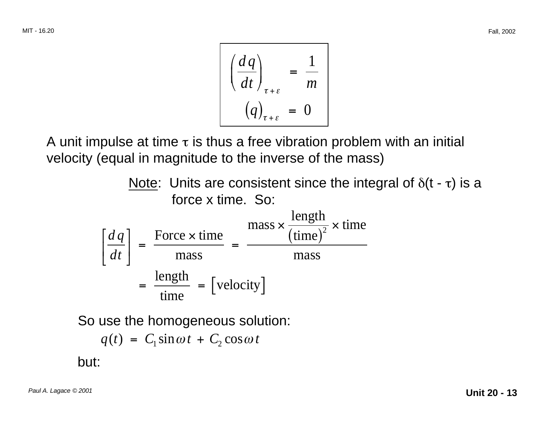$$
\frac{\left(\frac{dq}{dt}\right)_{\tau+\varepsilon}}{\left(q\right)_{\tau+\varepsilon}} = \frac{1}{m}
$$
\n
$$
(q)_{\tau+\varepsilon} = 0
$$

A unit impulse at time  $\tau$  is thus a free vibration problem with an initial velocity (equal in magnitude to the inverse of the mass)

| Note: Units are consistent since the integral of $\delta(t - \tau)$ is a force $x$ time. So:                                                                                               |
|--------------------------------------------------------------------------------------------------------------------------------------------------------------------------------------------|
| \n $\left[\frac{dq}{dt}\right] = \frac{\text{Force} \times \text{time}}{\text{mass}} = \frac{\text{mass} \times \frac{\text{length}}{(\text{time})^2} \times \text{time}}{\text{mass}}$ \n |
| \n $= \frac{\text{length}}{\text{time}} = \text{[velocity]}$ \n                                                                                                                            |

So use the homogeneous solution:

$$
q(t) = C_1 \sin \omega t + C_2 \cos \omega t
$$

but: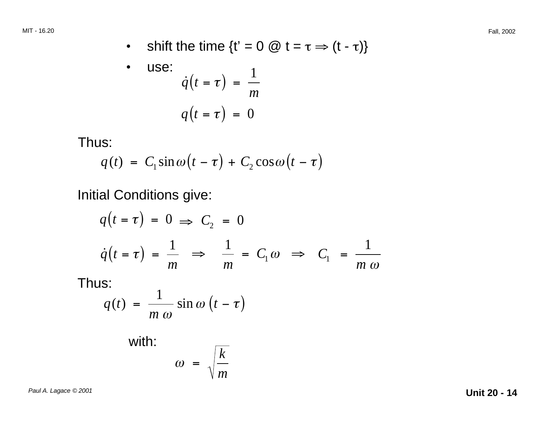• shift the time  $\{t' = 0 \ @ \ t = \tau \Rightarrow (t - \tau)\}$ 

• use:  
\n
$$
\dot{q}(t = \tau) = \frac{1}{m}
$$
\n
$$
q(t = \tau) = 0
$$

Thus:

$$
q(t) = C_1 \sin \omega (t - \tau) + C_2 \cos \omega (t - \tau)
$$

Initial Conditions give:

$$
q(t = \tau) = 0 \implies C_2 = 0
$$
  

$$
\dot{q}(t = \tau) = \frac{1}{m} \implies \frac{1}{m} = C_1 \omega \implies C_1 = \frac{1}{m \omega}
$$

Thus:

$$
q(t) = \frac{1}{m \omega} \sin \omega (t - \tau)
$$

with:  
\n
$$
\omega = \sqrt{\frac{k}{m}}
$$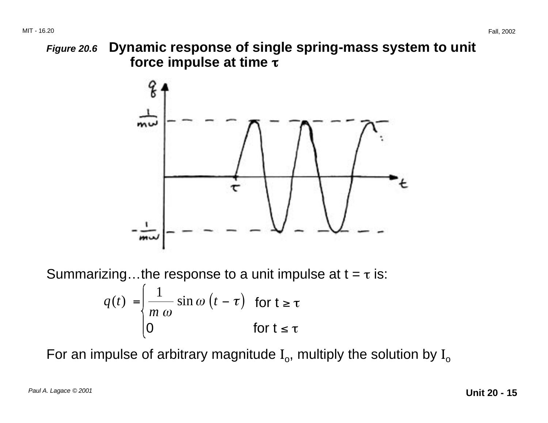τ **force impulse at time** τ**Figure 20.6 Dynamic response of single spring-mass system to unit** 



 $q(t) = \frac{1}{t} \sin \omega (t - \tau)$  for t ≥ τ Summarizing...the response to a unit impulse at  $t = \tau$  is: *m* ω

 $0$  for t ≤ τ

For an impulse of arbitrary magnitude  $I_0$ , multiply the solution by  $I_0$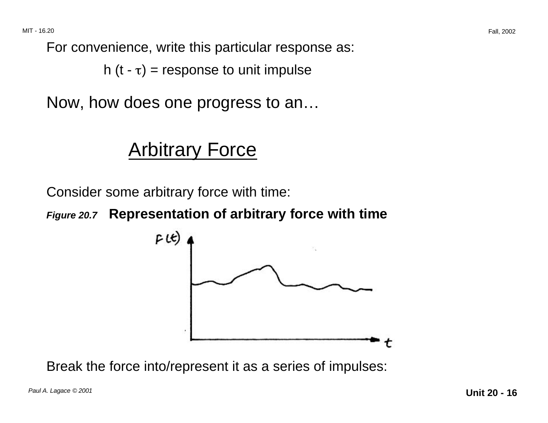For convenience, write this particular response as:

h  $(t - \tau)$  = response to unit impulse

Now, how does one progress to an…

#### Arbitrary Force

Consider some arbitrary force with time:

**Figure 20.7 Representation of arbitrary force with time**



Break the force into/represent it as a series of impulses: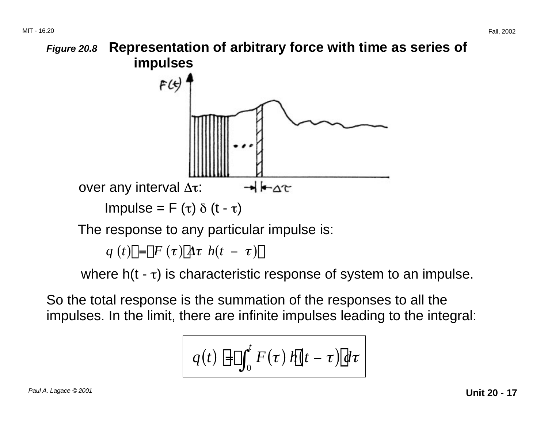

 $q(t)$  $\left[ \left| \left| \mathbf{F}(\tau) \right| \right]$  $\left| \mathbf{F}(\tau) \right|$  $\left| \mathbf{F}(\tau) \right|$ 

where  $h(t - \tau)$  is characteristic response of system to an impulse.

So the total response is the summation of the responses to all the impulses. In the limit, there are infinite impulses leading to the integral:

$$
q(t) \mathbb{H} \int_0^t F(\tau) \, h \, \mathrm{d} t - \tau \, \mathrm{d} t
$$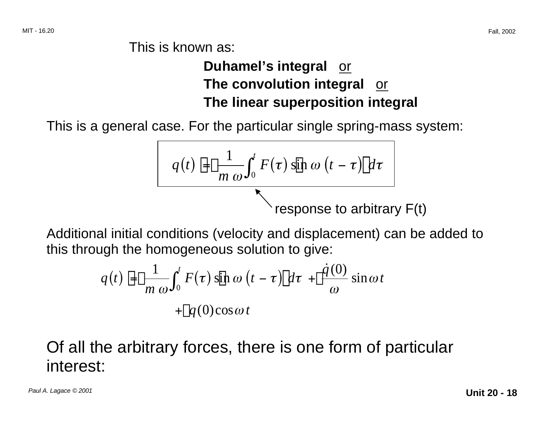This is known as:

#### **Duhamel's integral** or **The convolution integral** or **The linear superposition integral**

This is a general case. For the particular single spring-mass system:

$$
q(t) \mathbb{H} \frac{1}{m \omega} \int_0^t F(\tau) \sin \omega (t - \tau) [d\tau]
$$
  
response to arbitrary F(t)

Additional initial conditions (velocity and displacement) can be added to this through the homogeneous solution to give:

$$
q(t) \boxplus \Box \frac{1}{m \omega} \int_0^t F(\tau) \sin \omega (t - \tau) [\, dt + \Box \frac{\dot{q}(0)}{\omega} \sin \omega t
$$

$$
+ \Box q(0) \cos \omega t
$$

#### Of all the arbitrary forces, there is one form of particular interest: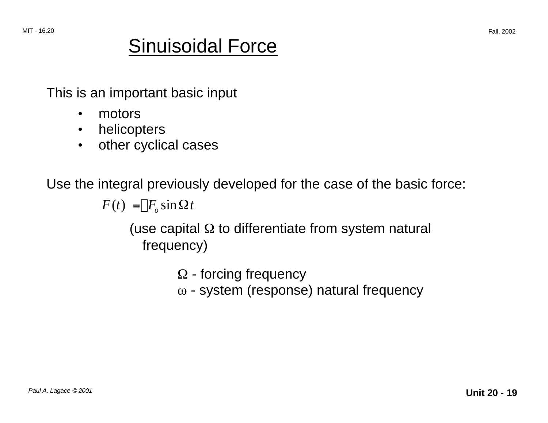## Sinuisoidal Force

This is an important basic input

- motors
- helicopters
- other cyclical cases

Use the integral previously developed for the case of the basic force:

 $F(t) = \prod F_a \sin \Omega t$ 

(use capital  $\Omega$  to differentiate from system natural frequency)

> $\Omega$  - forcing frequency  $\omega$  - system (response) natural frequency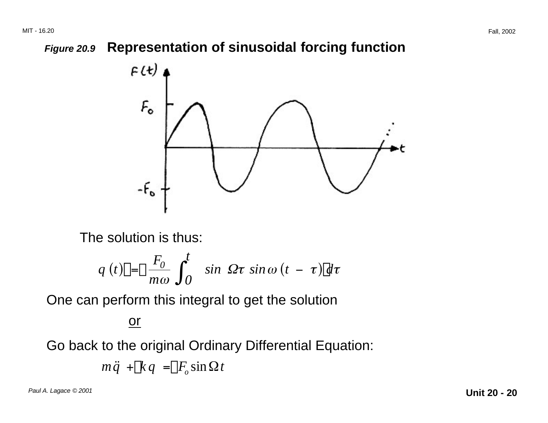**Figure 20.9 Representation of sinusoidal forcing function** 



The solution is thus:

$$
q(t)\mathbf{u} = \mathbf{u} \frac{F_0}{m\omega} \int_0^t \sin \Omega \tau \sin \omega (t - \tau) \mathbf{d} \tau
$$

One can perform this integral to get the solution

#### or

Go back to the original Ordinary Differential Equation:

$$
m\ddot{q} + \mathbb{k}q = \mathbb{E}F_o \sin \Omega t
$$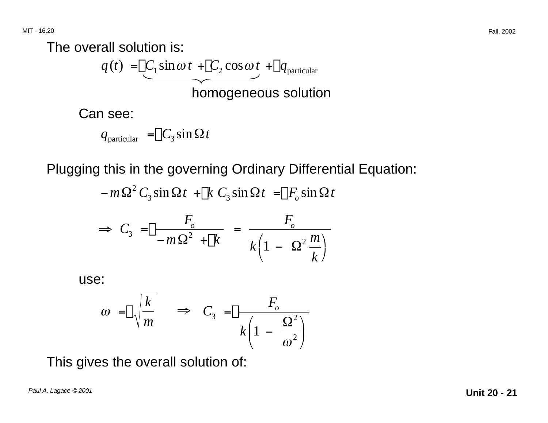The overall solution is:

$$
q(t) = \underbrace{\Box C_1 \sin \omega t}_{\text{homogeneous solution}} + \underbrace{\Box q_{\text{particular}}}_{\text{homogeneous solution}}
$$

Can see:

$$
q_{\text{particular}} = \square C_3 \sin \Omega t
$$

Plugging this in the governing Ordinary Differential Equation:

$$
-m\Omega^2 C_3 \sin \Omega t + [k C_3 \sin \Omega t] = [F_0 \sin \Omega t]
$$

$$
\Rightarrow C_3 = \boxed{\frac{F_o}{-m\Omega^2 + \boxed{k}}} = \frac{F_o}{k\left(1 - \Omega^2 \frac{m}{k}\right)}
$$

use:

$$
\omega = \Box \sqrt{\frac{k}{m}} \quad \Rightarrow \quad C_3 = \Box \frac{F_o}{k \left(1 - \frac{\Omega^2}{\omega^2}\right)}
$$

This gives the overall solution of: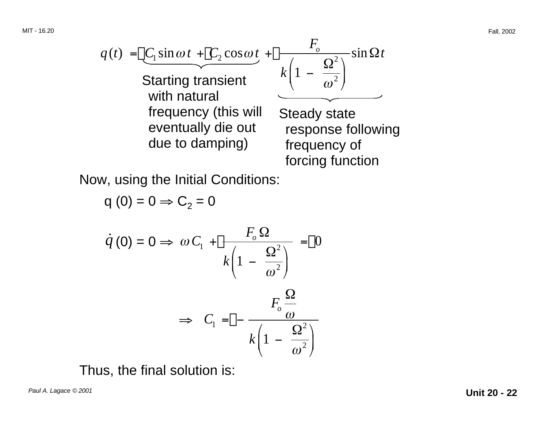$$
q(t) = \underbrace{\left[ C_1 \sin \omega t + \underbrace{\left[ C_2 \cos \omega t + \frac{F_o}{\omega^2} \right]}_{\text{Starting transient}} \sin \Omega t} \underbrace{k \left( 1 - \frac{\Omega^2}{\omega^2} \right)}_{\text{frequencies of the given tually die out}
$$
\n
$$
T = \frac{1}{\omega^2}
$$
\n
$$
T = \frac{1}{\omega^2}
$$
\n
$$
T = \frac{1}{\omega^2}
$$
\n
$$
T = \frac{1}{\omega^2}
$$
\n
$$
T = \frac{1}{\omega^2}
$$
\n
$$
T = \frac{1}{\omega^2}
$$
\n
$$
T = \frac{1}{\omega^2}
$$
\n
$$
T = \frac{1}{\omega^2}
$$
\n
$$
T = \frac{1}{\omega^2}
$$
\n
$$
T = \frac{1}{\omega^2}
$$
\n
$$
T = \frac{1}{\omega^2}
$$
\n
$$
T = \frac{1}{\omega^2}
$$
\n
$$
T = \frac{1}{\omega^2}
$$
\n
$$
T = \frac{1}{\omega^2}
$$
\n
$$
T = \frac{1}{\omega^2}
$$
\n
$$
T = \frac{1}{\omega^2}
$$
\n
$$
T = \frac{1}{\omega^2}
$$
\n
$$
T = \frac{1}{\omega^2}
$$
\n
$$
T = \frac{1}{\omega^2}
$$
\n
$$
T = \frac{1}{\omega^2}
$$
\n
$$
T = \frac{1}{\omega^2}
$$
\n
$$
T = \frac{1}{\omega^2}
$$
\n
$$
T = \frac{1}{\omega^2}
$$
\n
$$
T = \frac{1}{\omega^2}
$$
\n
$$
T = \frac{1}{\omega^2}
$$
\n
$$
T = \frac{1}{\omega^2}
$$
\n
$$
T = \frac{1}{\omega^2}
$$
\n
$$
T = \frac{1}{\omega^2}
$$
\n
$$
T = \frac{1}{\omega^2}
$$
\n
$$
T = \frac{1}{\omega^2}
$$
\n
$$
T = \frac{1}{\omega^2}
$$
\n<math display="block</math>

Now, using the Initial Conditions:

$$
q(0) = 0 \Rightarrow C_2 = 0
$$

$$
\dot{q}(0) = 0 \Rightarrow \omega C_1 + \frac{F_o \Omega}{k \left(1 - \frac{\Omega^2}{\omega^2}\right)} = \Omega
$$
\n
$$
\Rightarrow C_1 = \square - \frac{F_o \Omega}{k \left(1 - \frac{\Omega^2}{\omega^2}\right)}
$$

Thus, the final solution is: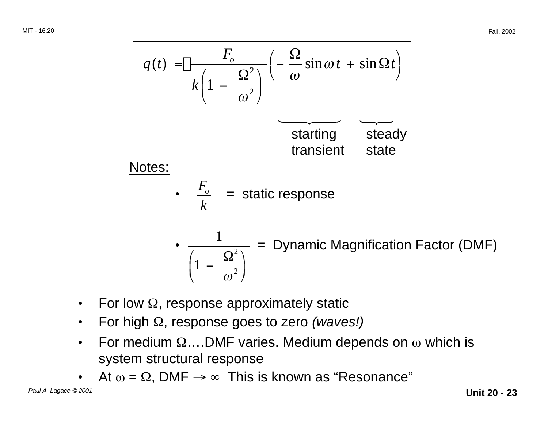

- For low  $\Omega$ , response approximately static
- For high Ω, response goes to zero (waves!)
- For medium  $\Omega$ ....DMF varies. Medium depends on  $\omega$  which is system structural response
- At  $\omega = \Omega$ , DMF  $\rightarrow \infty$  This is known as "Resonance"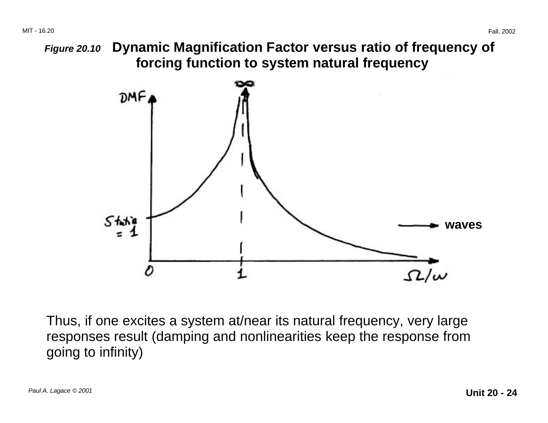

Thus, if one excites a system at/near its natural frequency, very large responses result (damping and nonlinearities keep the response from going to infinity)